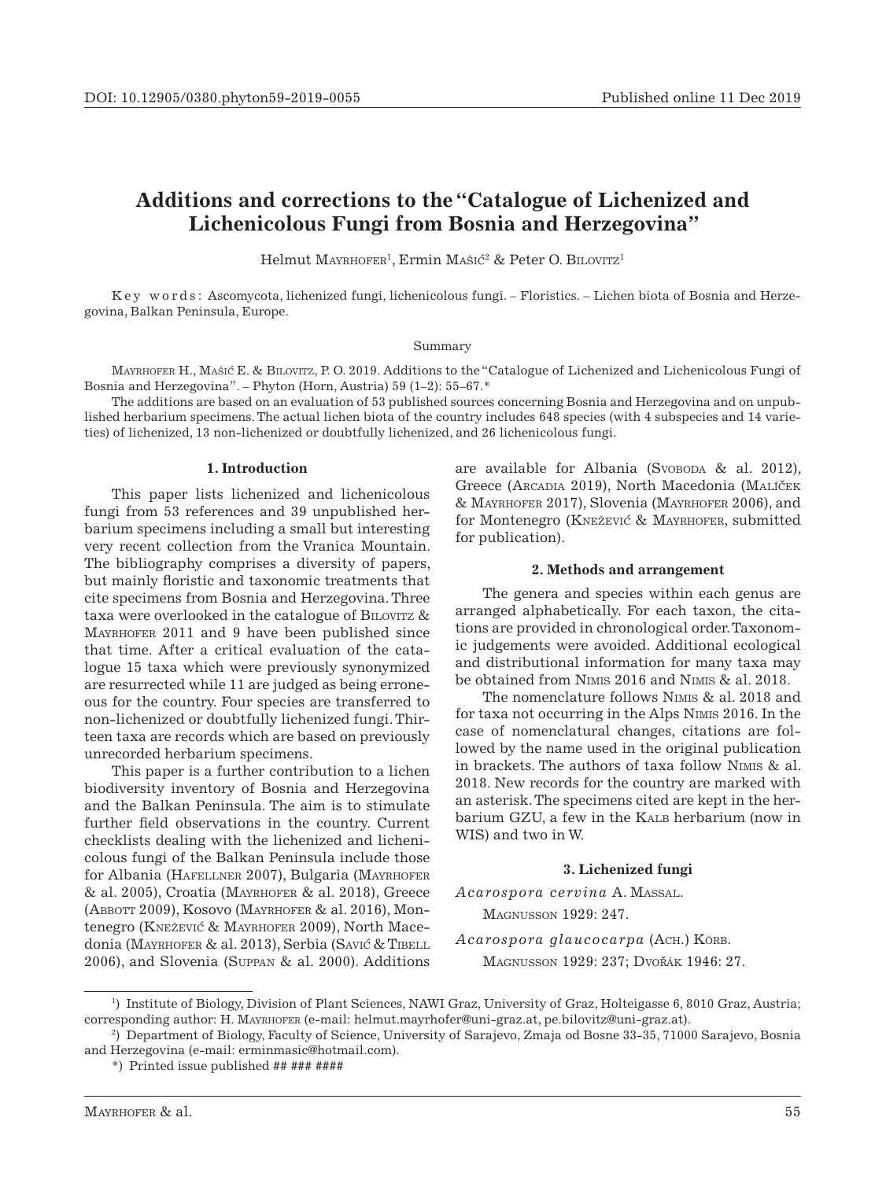# **Additions and corrections to the "Catalogue of Lichenized and Lichenicolous Fungi from Bosnia and Herzegovina"**

Helmut MAYRHOFER<sup>1</sup>, Ermin MAŠIĆ<sup>2</sup> & Peter O. BILOVITZ<sup>1</sup>

K e y w o r d s : Ascomycota, lichenized fungi, lichenicolous fungi. – Floristics. – Lichen biota of Bosnia and Herzegovina, Balkan Peninsula, Europe.

#### Summary

Mayrhofer H., Mašic´ E. & Bilovitz, P. O. 2019. Additions to the "Catalogue of Lichenized and Lichenicolous Fungi of Bosnia and Herzegovina". – Phyton (Horn, Austria) 59 (1–2): 55–67.\*

The additions are based on an evaluation of 53 published sources concerning Bosnia and Herzegovina and on unpublished herbarium specimens. The actual lichen biota of the country includes 648 species (with 4 subspecies and 14 varieties) of lichenized, 13 non-lichenized or doubtfully lichenized, and 26 lichenicolous fungi.

### **1. Introduction**

This paper lists lichenized and lichenicolous fungi from 53 references and 39 unpublished herbarium specimens including a small but interesting very recent collection from the Vranica Mountain. The bibliography comprises a diversity of papers, but mainly floristic and taxonomic treatments that cite specimens from Bosnia and Herzegovina. Three taxa were overlooked in the catalogue of BILOVITZ & Mayrhofer 2011 and 9 have been published since that time. After a critical evaluation of the catalogue 15 taxa which were previously synonymized are resurrected while 11 are judged as being erroneous for the country. Four species are transferred to non-lichenized or doubtfully lichenized fungi. Thirteen taxa are records which are based on previously unrecorded herbarium specimens.

This paper is a further contribution to a lichen biodiversity inventory of Bosnia and Herzegovina and the Balkan Peninsula. The aim is to stimulate further field observations in the country. Current checklists dealing with the lichenized and lichenicolous fungi of the Balkan Peninsula include those for Albania (HAFELLNER 2007), Bulgaria (MAYRHOFER & al. 2005), Croatia (Mayrhofer & al. 2018), Greece (Abbott 2009), Kosovo (Mayrhofer & al. 2016), Montenegro (KNEŽEVIĆ & MAYRHOFER 2009), North Macedonia (MAYRHOFER & al. 2013), Serbia (SAVIĆ & TIBELL 2006), and Slovenia (Suppan & al. 2000). Additions

are available for Albania (Svoboda & al. 2012), Greece (ARCADIA 2019), North Macedonia (MALÍČEK & Mayrhofer 2017), Slovenia (Mayrhofer 2006), and for Montenegro (KNEŽEVIĆ & MAYRHOFER, submitted for publication).

#### **2. Methods and arrangement**

The genera and species within each genus are arranged alphabetically. For each taxon, the citations are provided in chronological order. Taxonomic judgements were avoided. Additional ecological and distributional information for many taxa may be obtained from Nimis 2016 and Nimis & al. 2018.

The nomenclature follows Nimis & al. 2018 and for taxa not occurring in the Alps Nimis 2016. In the case of nomenclatural changes, citations are followed by the name used in the original publication in brackets. The authors of taxa follow Nimis & al. 2018. New records for the country are marked with an asterisk. The specimens cited are kept in the herbarium GZU, a few in the KALB herbarium (now in WIS) and two in W.

#### **3. Lichenized fungi**

*Acarospora cervina* A. Massal. Magnusson 1929: 247.

*Acarospora glaucocarpa* (Ach.) Körb. MAGNUSSON 1929: 237; DVOŘÁK 1946: 27.

<sup>1</sup> ) Institute of Biology, Division of Plant Sciences, NAWI Graz, University of Graz, Holteigasse 6, 8010 Graz, Austria; corresponding author: H. Mayrhofer (e-mail: helmut.mayrhofer@uni-graz.at, pe.bilovitz@uni-graz.at). 2

<sup>)</sup> Department of Biology, Faculty of Science, University of Sarajevo, Zmaja od Bosne 33-35, 71000 Sarajevo, Bosnia and Herzegovina (e-mail: erminmasic@hotmail.com).

<sup>\*)</sup> Printed issue published ## ### ####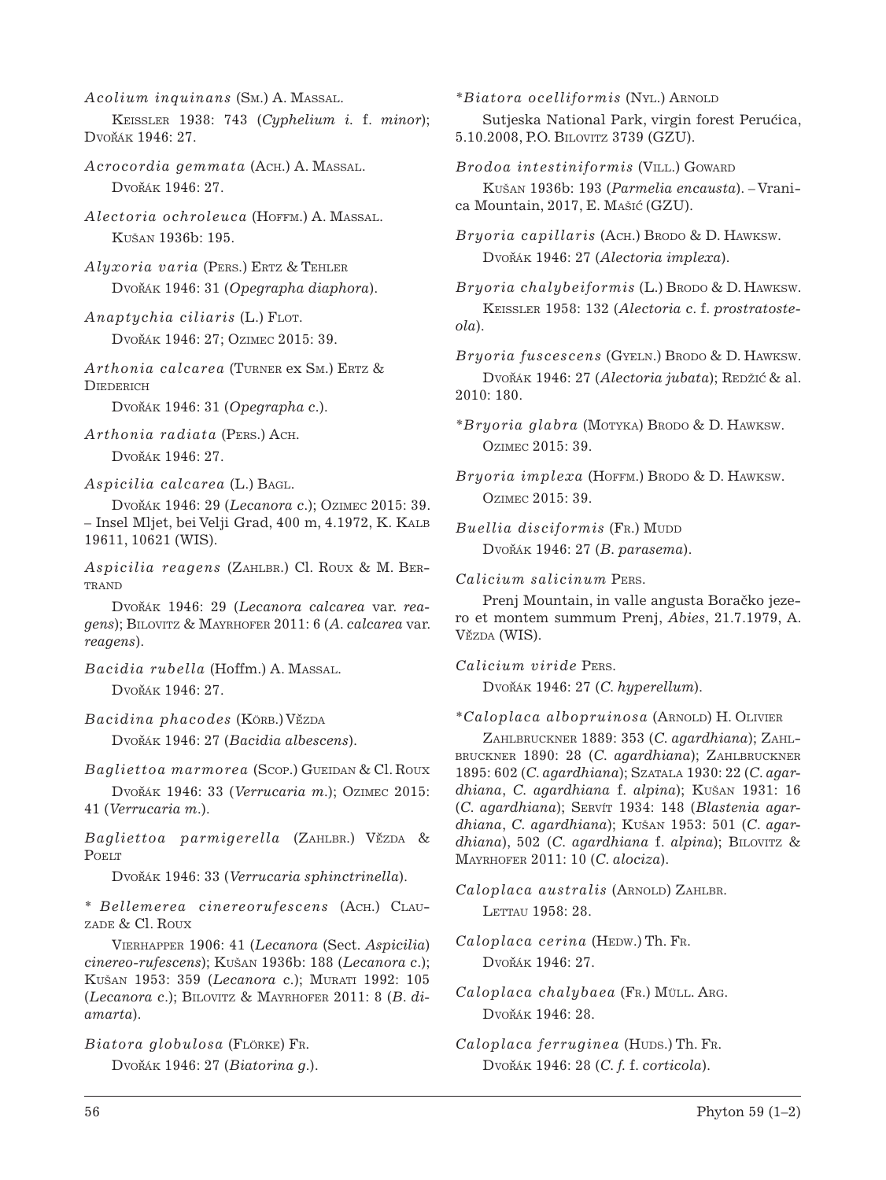*Acolium inquinans* (Sm.) A. Massal.

Keissler 1938: 743 (*Cyphelium i.* f. *minor*); Dvořák 1946: 27.

*Acrocordia gemmata* (Ach.) A. Massal. Dvořák 1946: 27.

*Alectoria ochroleuca* (Hoffm.) A. Massal. Kušan 1936b: 195.

*Alyxoria varia* (Pers.) Ertz & Tehler Dvořák 1946: 31 (*Opegrapha diaphora*).

*Anaptychia ciliaris* (L.) FLOT. Dvořák 1946: 27; Ozimec 2015: 39.

Arthonia calcarea (TURNER ex SM.) ERTZ & **DIEDERICH** 

Dvořák 1946: 31 (Opegrapha c.).

*Arthonia radiata* (Pers.) Ach.

Dvořák 1946: 27.

*Aspicilia calcarea* (L.) Bagl.

Dvorˇák 1946: 29 (*Lecanora c*.); Ozimec 2015: 39. – Insel Mljet, bei Velji Grad, 400 m, 4.1972, K. Kalb 19611, 10621 (WIS).

*Aspicilia reagens* (Zahlbr.) Cl. Roux & M. Ber-TRAND

Dvořák 1946: 29 (Lecanora calcarea var. rea*gens*); Bilovitz & Mayrhofer 2011: 6 (*A. calcarea* var. *reagens*).

*Bacidia rubella* (Hoffm.) A. Massal. Dvořák 1946: 27.

*Bacidina phacodes* (KÖRB.) VĚZDA

Dvořák 1946: 27 (Bacidia albescens).

*Bagliettoa marmorea* (Scop.) Gueidan & Cl. Roux

Dvořák 1946: 33 (*Verrucaria m.*); Ozimec 2015: 41 (*Verrucaria m*.).

*Bagliettoa parmigerella* (ZAHLBR.) VĚZDA & **POELT** 

Dvořák 1946: 33 (Verrucaria sphinctrinella).

\* *Bellemerea cinereorufescens* (Ach.) Clauzade & Cl. Roux

Vierhapper 1906: 41 (*Lecanora* (Sect. *Aspicilia*) *cinereo-rufescens*); Kušan 1936b: 188 (*Lecanora c*.); Kušan 1953: 359 (*Lecanora c*.); Murati 1992: 105 (*Lecanora c*.); Bilovitz & Mayrhofer 2011: 8 (*B*. *diamarta*).

*Biatora globulosa* (Flörke) Fr.

Dvořák 1946: 27 (*Biatorina g.*).

*\*Biatora ocelliformis* (Nyl.) Arnold

Sutjeska National Park, virgin forest Perućica, 5.10.2008, P.O. Bilovitz 3739 (GZU).

Brodoa intestiniformis (VILL.) GOWARD

Kušan 1936b: 193 (*Parmelia encausta*). – Vranica Mountain, 2017, E. MAŠIĆ (GZU).

*Bryoria capillaris* (Ach.) Brodo & D. Hawksw. Dvořák 1946: 27 (Alectoria implexa).

*Bryoria chalybeiformis* (L.) Brodo & D. HAWKSW. Keissler 1958: 132 (*Alectoria c*. f. *prostratosteola*).

*Bryoria fuscescens* (Gyeln.) Brodo & D. Hawksw. Dvořák 1946: 27 (Alectoria jubata); Redžić & al. 2010: 180.

*\*Bryoria glabra* (Motyka) Brodo & D. Hawksw. Ozimec 2015: 39.

*Bryoria implexa* (Hoffm.) Brodo & D. Hawksw. Ozimec 2015: 39.

 $Buellia$  *disciformis* (Fr.) Mudd Dvořák 1946: 27 (B. parasema).

*Calicium salicinum* Pers.

Prenj Mountain, in valle angusta Boračko jezero et montem summum Prenj, *Abies*, 21.7.1979, A. Vězda (WIS).

*Calicium viride* Pers.

Dvořák 1946: 27 (C. hyperellum).

\**Caloplaca albopruinosa* (Arnold) H. Olivier

Zahlbruckner 1889: 353 (*C. agardhiana*); Zahlbruckner 1890: 28 (*C. agardhiana*); Zahlbruckner 1895: 602 (*C. agardhiana*); Szatala 1930: 22 (*C. agardhiana*, *C. agardhiana* f. *alpina*); Kušan 1931: 16 (*C*. *agardhiana*); Servít 1934: 148 (*Blastenia agardhiana*, *C. agardhiana*); Kušan 1953: 501 (*C*. *agardhiana*), 502 (*C. agardhiana* f. *alpina*); Bilovitz & Mayrhofer 2011: 10 (*C. alociza*).

Caloplaca australis (ARNOLD) ZAHLBR. LETTAU 1958: 28.

*Caloplaca cerina* (HEDW.) Th. FR. Dvořák 1946: 27.

*Caloplaca chalybaea* (Fr.) Müll. Arg. Dvořák 1946: 28.

*Caloplaca ferruginea* (HUDS.) Th. Fr. Dvorˇák 1946: 28 (*C. f.* f. *corticola*).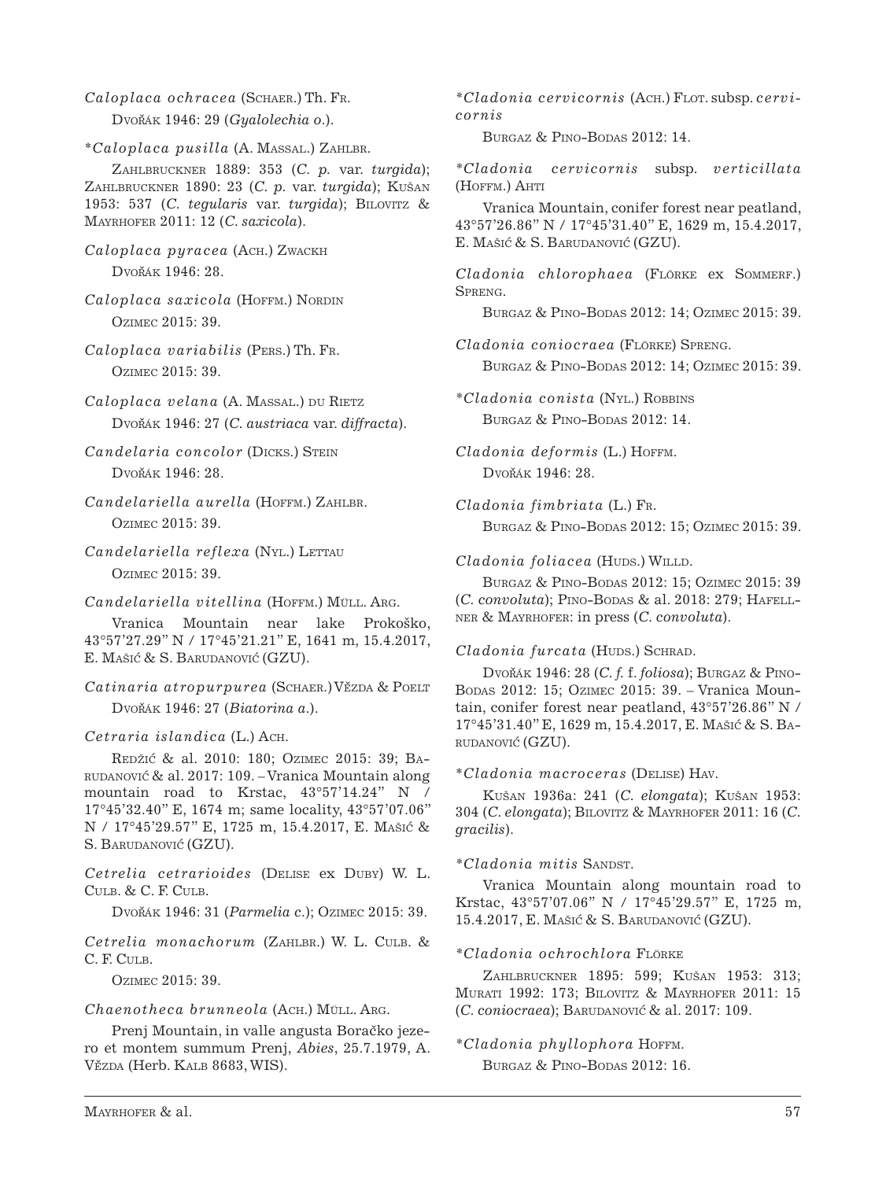- *Caloplaca ochracea* (Schaer.) Th. Fr. Dvořák 1946: 29 (*Gyalolechia o.*).
- \**Caloplaca pusilla* (A. Massal.) Zahlbr.

Zahlbruckner 1889: 353 (*C. p.* var. *turgida*); Zahlbruckner 1890: 23 (*C. p.* var. *turgida*); Kušan 1953: 537 (*C. tegularis* var. *turgida*); Bilovitz & Mayrhofer 2011: 12 (*C. saxicola*).

- *Caloplaca pyracea* (Ach.) Zwackh Dvořák 1946: 28.
- Caloplaca saxicola (HOFFM.) NORDIN Ozimec 2015: 39.
- *Caloplaca variabilis* (Pers.) Th. Fr. Ozimec 2015: 39.
- $Caloplaca$  *velana* (A. MASSAL.) du RIETZ Dvořák 1946: 27 (C. austriaca var. diffracta).
- *Candelaria concolor* (Dicks.) Stein  $Dv$ ořák 1946: 28.
- *Candelariella aurella* (Hoffm.) Zahlbr. Ozimec 2015: 39.
- $Candelariella reflexa$  (Nyl.) LETTAU Ozimec 2015: 39.

*Candelariella vitellina* (Hoffm.) Müll. Arg.

Vranica Mountain near lake Prokoško, 43°57'27.29'' N / 17°45'21.21'' E, 1641 m, 15.4.2017, E. Mašić & S. Barudanović (GZU).

Catinaria atropurpurea (SCHAER.) VĚZDA & POELT Dvořák 1946: 27 (*Biatorina a.*).

*Cetraria islandica* (L.) Ach.

REDŽIĆ & al. 2010: 180; OZIMEC 2015: 39; BArudanovic´ & al. 2017: 109. – Vranica Mountain along mountain road to Krstac, 43°57'14.24'' N / 17°45'32.40'' E, 1674 m; same locality, 43°57'07.06'' N / 17°45'29.57'' E, 1725 m, 15.4.2017, E. Mašic´ & S. BARUDANOVIĆ (GZU).

*Cetrelia cetrarioides* (Delise ex Duby) W. L. Culb. & C. F. Culb.

Dvorˇák 1946: 31 (*Parmelia c*.); Ozimec 2015: 39.

*Cetrelia monachorum* (Zahlbr.) W. L. Culb. & C. F. CULB.

Ozimec 2015: 39.

### *Chaenotheca brunneola* (Ach.) Müll. Arg.

Prenj Mountain, in valle angusta Boračko jezero et montem summum Prenj, *Abies*, 25.7.1979, A. Vězda (Herb. Kalb 8683, WIS).

*\*Cladonia cervicornis* (Ach.) Flot. subsp. *cervicornis*

BURGAZ & PINO-BODAS 2012: 14.

*\*Cladonia cervicornis* subsp. *verticillata* (Hoffm.) Ahti

Vranica Mountain, conifer forest near peatland, 43°57'26.86'' N / 17°45'31.40'' E, 1629 m, 15.4.2017, E. Mašić & S. Barudanović (GZU).

*Cladonia chlorophaea* (Flörke ex Sommerf.) Spreng.

Burgaz & Pino-Bodas 2012: 14; Ozimec 2015: 39.

*Cladonia coniocraea* (Flörke) Spreng. Burgaz & Pino-Bodas 2012: 14; Ozimec 2015: 39.

*\*Cladonia conista* (Nyl.) Robbins Burgaz & Pino-Bodas 2012: 14.

*Cladonia deformis* (L.) Hoffm.  $Dv^{\delta_{4K}}$  1946: 28

*Cladonia fimbriata* (L.) Fr. Burgaz & Pino-Bodas 2012: 15; Ozimec 2015: 39.

 $Cladonia foliacea$  (HUDS.) WILLD.

Burgaz & Pino-Bodas 2012: 15; Ozimec 2015: 39 (*C. convoluta*); Pino-Bodas & al. 2018: 279; Hafellner & Mayrhofer: in press (*C. convoluta*).

## $Cladonia~furcata$  (HUDS.) SCHRAD.

Dvořák 1946: 28 (C. f. f. *foliosa*); Burgaz & Pino-Bodas 2012: 15; Ozimec 2015: 39. – Vranica Mountain, conifer forest near peatland, 43°57'26.86'' N / 17°45'31.40'' E, 1629 m, 15.4.2017, E. Mašic´ & S. Barudanovic´ (GZU).

### \**Cladonia macroceras* (Delise) Hav.

Kušan 1936a: 241 (*C. elongata*); Kušan 1953: 304 (*C. elongata*); Bilovitz & Mayrhofer 2011: 16 (*C. gracilis*).

## $*Cladonia$  *mitis* SANDST.

Vranica Mountain along mountain road to Krstac, 43°57'07.06'' N / 17°45'29.57'' E, 1725 m, 15.4.2017, E. Mašić & S. Barudanović (GZU).

## *\*Cladonia ochrochlora* Flörke

Zahlbruckner 1895: 599; Kušan 1953: 313; Murati 1992: 173; Bilovitz & Mayrhofer 2011: 15 (*C*. *coniocraea*); Barudanovic´ & al. 2017: 109.

## *\*Cladonia phyllophora* Hoffm.

BURGAZ & PINO-BODAS 2012: 16.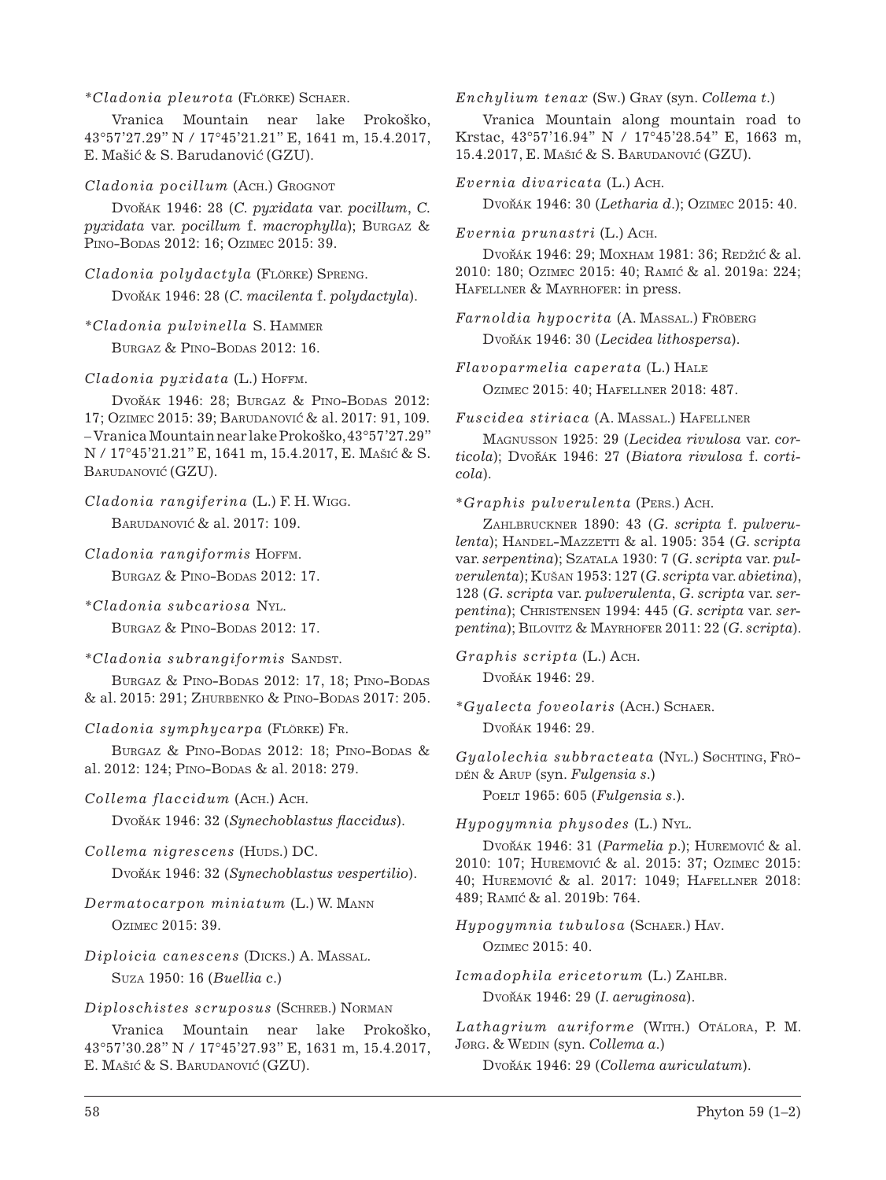### *\*Cladonia pleurota* (Flörke) Schaer.

Vranica Mountain near lake Prokoško, 43°57'27.29'' N / 17°45'21.21'' E, 1641 m, 15.4.2017, E. Mašić & S. Barudanović (GZU).

## *Cladonia pocillum* (Ach.) Grognot

Dvořák 1946: 28 (*C. pyxidata* var. *pocillum*, *C. pyxidata* var. *pocillum* f. *macrophylla*); Burgaz & Pino-Bodas 2012: 16; Ozimec 2015: 39.

*Cladonia polydactyla* (Flörke) Spreng.

Dvořák 1946: 28 (*C. macilenta* f. *polydactyla*).

*\*Cladonia pulvinella* S. Hammer BURGAZ & PINO-BODAS 2012: 16.

## *Cladonia pyxidata* (L.) Hoffm.

Dvořák 1946: 28; Burgaz & Pino-Bodas 2012: 17; Ozimec 2015: 39; Barudanovic´ & al. 2017: 91, 109. – Vranica Mountain near lake Prokoško, 43°57'27.29'' N / 17°45'21.21'' E, 1641 m, 15.4.2017, E. Mašic´ & S. BARUDANOVIĆ (GZU).

```
Cladonia rangiferina (L.) F. H. Wigg.
BARUDANOVIĆ & al. 2017: 109.
```
*Cladonia rangiformis* Hoffm.

Burgaz & Pino-Bodas 2012: 17.

*\*Cladonia subcariosa* Nyl. Burgaz & Pino-Bodas 2012: 17.

 $*Cladonia subrangiformis$  SANDST.

BURGAZ & PINO-BODAS 2012: 17, 18: PINO-BODAS & al. 2015: 291; Zhurbenko & Pino-Bodas 2017: 205.

*Cladonia symphycarpa* (Flörke) Fr.

BURGAZ & PINO-BODAS 2012: 18; PINO-BODAS & al. 2012: 124; PINO-BODAS & al. 2018: 279.

*Collema flaccidum* (Ach.) Ach.

Dvořák 1946: 32 (*Synechoblastus flaccidus*).

 $Collema\ nigrescens$  (Hups.) DC.

Dvořák 1946: 32 (*Synechoblastus vespertilio*).

*Dermatocarpon miniatum* (L.) W. Mann Ozimec 2015: 39.

*Diploicia canescens* (Dicks.) A. Massal. Suza 1950: 16 (*Buellia c*.)

## *Diploschistes scruposus* (Schreb.) Norman

Vranica Mountain near lake Prokoško, 43°57'30.28'' N / 17°45'27.93'' E, 1631 m, 15.4.2017, E. Mašić & S. Barudanović (GZU).

*Enchylium tenax* (Sw.) Gray (syn. *Collema t*.)

Vranica Mountain along mountain road to Krstac, 43°57'16.94'' N / 17°45'28.54'' E, 1663 m, 15.4.2017, E. Mašić & S. Barudanović (GZU).

*Evernia divaricata* (L.) Ach.

Dvorˇák 1946: 30 (*Letharia d*.); Ozimec 2015: 40.

*Evernia prunastri* (L.) Ach.

Dvořák 1946: 29; Moxham 1981: 36; Redžić & al. 2010: 180; Ozimec 2015: 40; Ramic´ & al. 2019a: 224; HAFELLNER & MAYRHOFER: in press.

*Farnoldia hypocrita* (A. Massal.) Fröberg Dvořák 1946: 30 (*Lecidea lithospersa*).

*Flavoparmelia caperata* (L.) Hale Ozimec 2015: 40; Hafellner 2018: 487.

*Fuscidea stiriaca* (A. Massal.) Hafellner

Magnusson 1925: 29 (*Lecidea rivulosa* var. *cor* $ticola$ ); Dvořák 1946: 27 (*Biatora rivulosa* f. *corticola*).

\**Graphis pulverulenta* (Pers.) Ach.

Zahlbruckner 1890: 43 (*G. scripta* f. *pulverulenta*); Handel-Mazzetti & al. 1905: 354 (*G. scripta* var. serpentina); SzATALA 1930: 7 (G. scripta var. pul*verulenta*); Kušan 1953: 127 (*G. scripta* var. *abietina*), 128 (*G. scripta* var. *pulverulenta*, *G. scripta* var. *serpentina*); Christensen 1994: 445 (*G. scripta* var. *serpentina*); Bilovitz & Mayrhofer 2011: 22 (*G. scripta*).

*Graphis scripta* (L.) Ach.

Dvořák 1946: 29.

*\*Gyalecta foveolaris* (Ach.) Schaer.

Dvořák 1946: 29.

*Gyalolechia subbracteata* (Nyl.) Søchting, Frödén & Arup (syn. *Fulgensia s*.)

Poelt 1965: 605 (*Fulgensia s*.).

*Hypogymnia physodes* (L.) Nyl.

Dvořák 1946: 31 (*Parmelia p.*); HUREMOVIĆ & al. 2010: 107; Huremovic´ & al. 2015: 37; Ozimec 2015: 40; Huremovic´ & al. 2017: 1049; Hafellner 2018: 489; RAMIĆ & al. 2019b: 764.

*Hypogymnia tubulosa* (Schaer.) Hav. Ozimec 2015: 40.

 $Icmadophila$  ericetorum (L.) ZAHLBR. Dvořák 1946: 29 (I. aeruginosa).

Lathagrium auriforme (WITH.) OTÁLORA, P. M. Jørg. & Wedin (syn. *Collema a*.)

Dvořák 1946: 29 (*Collema auriculatum*).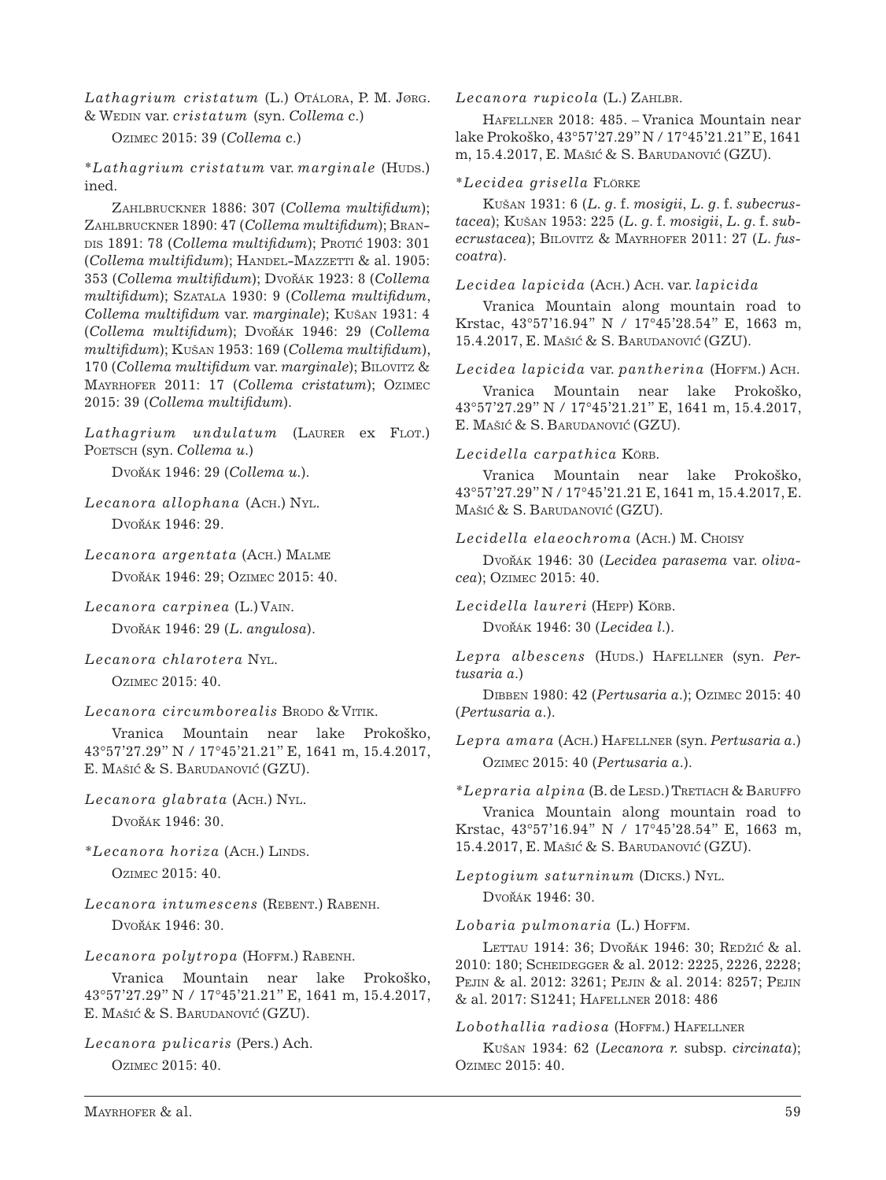*Lathagrium cristatum* (L.) Otálora, P. M. Jørg. & Wedin var. *cristatum* (syn. *Collema c*.)

Ozimec 2015: 39 (*Collema c*.)

\**Lathagrium cristatum* var. *marginale* (Huds.) ined.

Zahlbruckner 1886: 307 (*Collema multifidum*); Zahlbruckner 1890: 47 (*Collema multifidum*); Brandis 1891: 78 (*Collema multifidum*); Protic 1903: 301 (*Collema multifidum*); HANDEL-MAZZETTI & al. 1905: 353 (*Collema multifidum*); Dvořák 1923: 8 (*Collema multifidum*); Szatala 1930: 9 (*Collema multifidum*, *Collema multifidum* var. *marginale*); Kušan 1931: 4 (*Collema multifidum*); Dvorˇák 1946: 29 (*Collema multifidum*); Kušan 1953: 169 (*Collema multifidum*), 170 (*Collema multifidum* var. *marginale*); Bilovitz & Mayrhofer 2011: 17 (*Collema cristatum*); Ozimec 2015: 39 (*Collema multifidum*).

Lathagrium undulatum (LAURER ex FLOT.) POETSCH (syn. *Collema u.*)

Dvorˇák 1946: 29 (*Collema u.*).

*Lecanora allophana* (Ach.) Nyl. Dvořák 1946: 29.

*Lecanora argentata* (Ach.) Malme Dvořák 1946: 29; Ozimec 2015: 40.

- *Lecanora carpinea* (L.) Vain. Dvořák 1946: 29 (L. angulosa).
- *Lecanora chlarotera* Nyl. Ozimec 2015: 40.

Lecanora circumborealis Brodo & VITIK.

Vranica Mountain near lake Prokoško, 43°57'27.29'' N / 17°45'21.21'' E, 1641 m, 15.4.2017, E. Mašić & S. Barudanović (GZU).

- *Lecanora glabrata* (Ach.) Nyl. Dvořák 1946: 30.
- *\*Lecanora horiza* (Ach.) Linds. Ozimec 2015: 40.
- *Lecanora intumescens* (Rebent.) Rabenh. Dvořák 1946: 30.

## *Lecanora polytropa* (Hoffm.) Rabenh.

Vranica Mountain near lake Prokoško, 43°57'27.29'' N / 17°45'21.21'' E, 1641 m, 15.4.2017, E. Mašić & S. Barudanović (GZU).

*Lecanora pulicaris* (Pers.) Ach.

Ozimec 2015: 40.

Lecanora rupicola (L.) ZAHLBR.

Hafellner 2018: 485. – Vranica Mountain near lake Prokoško, 43°57'27.29'' N / 17°45'21.21'' E, 1641 m, 15.4.2017, E. Mašić & S. Barudanović (GZU).

## \**Lecidea grisella* Flörke

Kušan 1931: 6 (*L. g*. f. *mosigii*, *L. g*. f. *subecrustacea*); Kušan 1953: 225 (*L. g*. f. *mosigii*, *L. g*. f. *subecrustacea*); Bilovitz & Mayrhofer 2011: 27 (*L. fuscoatra*).

*Lecidea lapicida* (Ach.) Ach. var. *lapicida* 

Vranica Mountain along mountain road to Krstac, 43°57'16.94'' N / 17°45'28.54'' E, 1663 m, 15.4.2017, E. Mašić & S. Barudanović (GZU).

*Lecidea lapicida* var. *pantherina* (Hoffm.) Ach.

Vranica Mountain near lake Prokoško, 43°57'27.29'' N / 17°45'21.21'' E, 1641 m, 15.4.2017, E. MAŠIĆ & S. BARUDANOVIĆ (GZU).

## *Lecidella carpathica* Körb.

Vranica Mountain near lake Prokoško, 43°57'27.29'' N / 17°45'21.21 E, 1641 m, 15.4.2017, E. Mašić & S. Barudanović (GZU).

## *Lecidella elaeochroma* (Ach.) M. Choisy

Dvořák 1946: 30 (Lecidea parasema var. oliva*cea*); Ozimec 2015: 40.

*Lecidella laureri* (Hepp) Körb.

Dvořák 1946: 30 (*Lecidea l.*).

Lepra albescens (HUDS.) HAFELLNER (Syn. Per*tusaria a*.)

Dibben 1980: 42 (*Pertusaria a*.); Ozimec 2015: 40 (*Pertusaria a*.).

*Lepra amara* (Ach.) Hafellner (syn. *Pertusaria a*.) Ozimec 2015: 40 (*Pertusaria a*.).

*\*Lepraria alpina* (B. de Lesd.) Tretiach & Baruffo

Vranica Mountain along mountain road to Krstac, 43°57'16.94'' N / 17°45'28.54'' E, 1663 m, 15.4.2017, E. Mašic´ & S. Barudanovic´ (GZU).

*Leptogium saturninum* (Dicks.) Nyl. Dvořák 1946: 30.

## Lobaria pulmonaria (L.) HOFFM.

LETTAU 1914: 36; DVOŘÁK 1946: 30; REDŽIĆ & al. 2010: 180; Scheidegger & al. 2012: 2225, 2226, 2228; Pejin & al. 2012: 3261; Pejin & al. 2014: 8257; Pejin & al. 2017: S1241; Hafellner 2018: 486

## *Lobothallia radiosa* (Hoffm.) Hafellner

Kušan 1934: 62 (*Lecanora r.* subsp. *circinata*); Ozimec 2015: 40.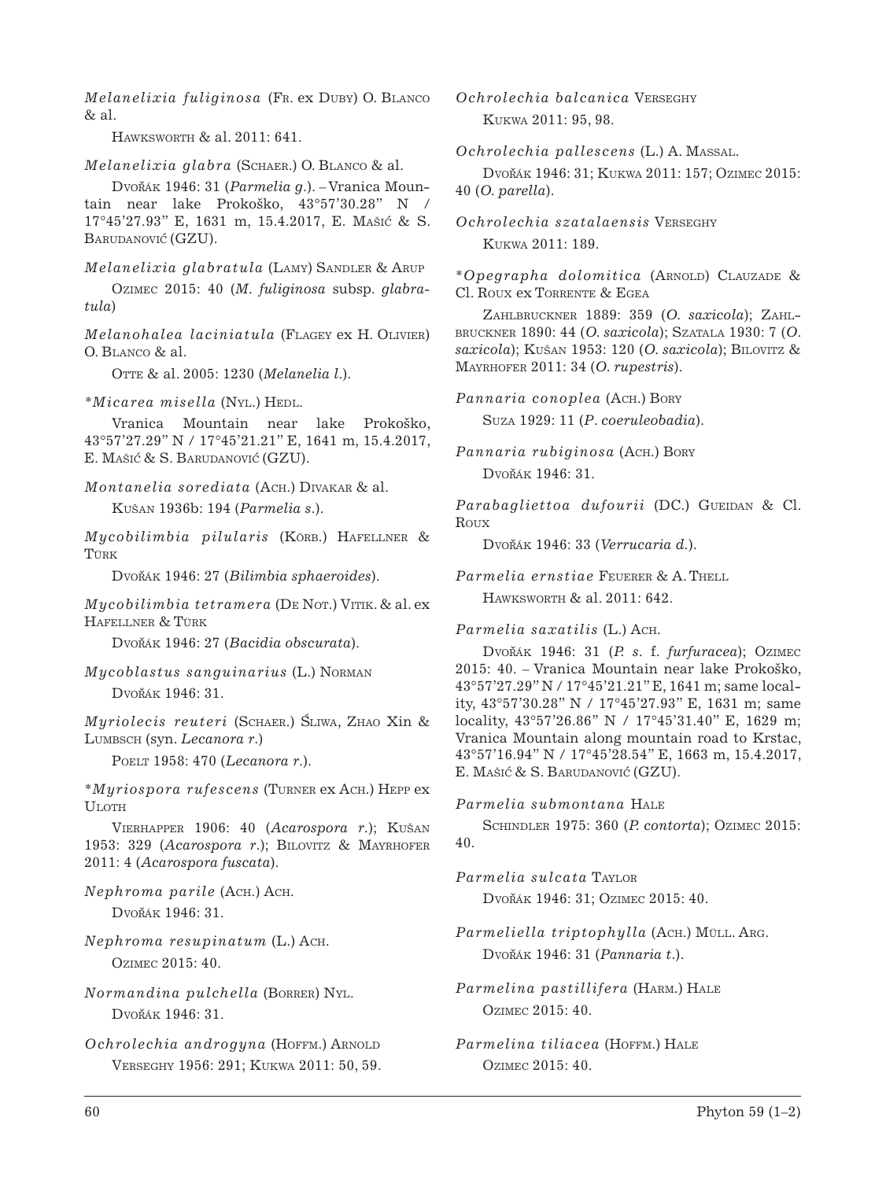*Melanelixia fuliginosa* (Fr. ex Duby) O. Blanco  $&$  al.

Hawksworth & al. 2011: 641.

*Melanelixia glabra* (Schaer.) O. Blanco & al.

Dvořák 1946: 31 (*Parmelia g.*). – Vranica Mountain near lake Prokoško, 43°57'30.28'' N / 17°45'27.93'' E, 1631 m, 15.4.2017, E. Mašic´ & S. BARUDANOVIĆ (GZU).

*Melanelixia glabratula* (LAMY) SANDLER & ARUP

Ozimec 2015: 40 (*M. fuliginosa* subsp. *glabratula*)

*Melanohalea laciniatula* (Flagey ex H. Olivier)  $O$  BLANCO  $\&$  al.

Otte & al. 2005: 1230 (*Melanelia l*.).

*\*Micarea misella* (Nyl.) Hedl.

Vranica Mountain near lake Prokoško, 43°57'27.29'' N / 17°45'21.21'' E, 1641 m, 15.4.2017, E. Mašić & S. Barudanović (GZU).

*Montanelia sorediata* (Ach.) Divakar & al.

Kušan 1936b: 194 (*Parmelia s*.).

*Mycobilimbia pilularis* (Körb.) Hafellner & TÜRK

Dvořák 1946: 27 (Bilimbia sphaeroides).

*Mycobilimbia tetramera* (DE Nor.) VITIK. & al. ex Hafellner & Türk

Dvořák 1946: 27 (*Bacidia obscurata*).

*Mycoblastus sanguinarius* (L.) Norman Dvořák 1946: 31.

*Muriolecis reuteri* (SCHAER.) SLIWA, ZHAO Xin & Lumbsch (syn. *Lecanora r*.)

Poelt 1958: 470 (*Lecanora r*.).

\**Myriospora rufescens* (Turner ex Ach.) Hepp ex **ULOTH** 

Vierhapper 1906: 40 (*Acarospora r*.); Kušan 1953: 329 (*Acarospora r*.); Bilovitz & Mayrhofer 2011: 4 (*Acarospora fuscata*).

*Nephroma parile* (Ach.) Ach. Dvořák 1946: 31.

*Nephroma resupinatum* (L.) Ach. Ozimec 2015: 40.

*Normandina pulchella* (Borrer) Nyl. Dvořák 1946: 31.

*Ochrolechia androgyna* (HOFFM.) ARNOLD Verseghy 1956: 291; Kukwa 2011: 50, 59. *Ochrolechia balcanica* Verseghy Kukwa 2011: 95, 98.

*Ochrolechia pallescens* (L.) A. Massal.

Dvořák 1946: 31; Kukwa 2011: 157; Ozimec 2015: 40 (*O. parella*).

*Ochrolechia szatalaensis* Verseghy Kukwa 2011: 189.

\**Opegrapha dolomitica* (Arnold) Clauzade & Cl. Roux ex Torrente & Egea

Zahlbruckner 1889: 359 (*O. saxicola*); Zahlbruckner 1890: 44 (*O. saxicola*); Szatala 1930: 7 (*O*. *saxicola*); Kušan 1953: 120 (*O. saxicola*); Bilovitz & Mayrhofer 2011: 34 (*O. rupestris*).

*Pannaria conoplea* (Ach.) Bory Suza 1929: 11 (*P*. *coeruleobadia*).

*Pannaria rubiginosa* (Ach.) Bory  $Dv$ ořák 1946: 31.

Parabagliettoa dufourii (DC.) GUEIDAN & Cl. **ROUX** 

Dvořák 1946: 33 (Verrucaria d.).

*Parmelia ernstiae* Feuerer & A. Thell Hawksworth & al. 2011: 642.

*Parmelia saxatilis* (L.) Ach.

Dvořák 1946: 31 (P. s. f. *furfuracea*); Ozimec 2015: 40. – Vranica Mountain near lake Prokoško, 43°57'27.29'' N / 17°45'21.21'' E, 1641 m; same locality, 43°57'30.28'' N / 17°45'27.93'' E, 1631 m; same locality, 43°57'26.86'' N / 17°45'31.40'' E, 1629 m; Vranica Mountain along mountain road to Krstac, 43°57'16.94'' N / 17°45'28.54'' E, 1663 m, 15.4.2017, E. MAŠIĆ & S. BARUDANOVIĆ (GZU).

*Parmelia submontana* Hale Schindler 1975: 360 (*P. contorta*); Ozimec 2015: 40.

*Parmelia sulcata* Taylor Dvořák 1946: 31; Ozimec 2015: 40.

*Parmeliella triptophylla* (Ach.) Müll. Arg. Dvořák 1946: 31 (Pannaria t.).

*Parmelina pastillifera* (Harm.) Hale Ozimec 2015: 40.

*Parmelina tiliacea* (Hoffm.) Hale Ozimec 2015: 40.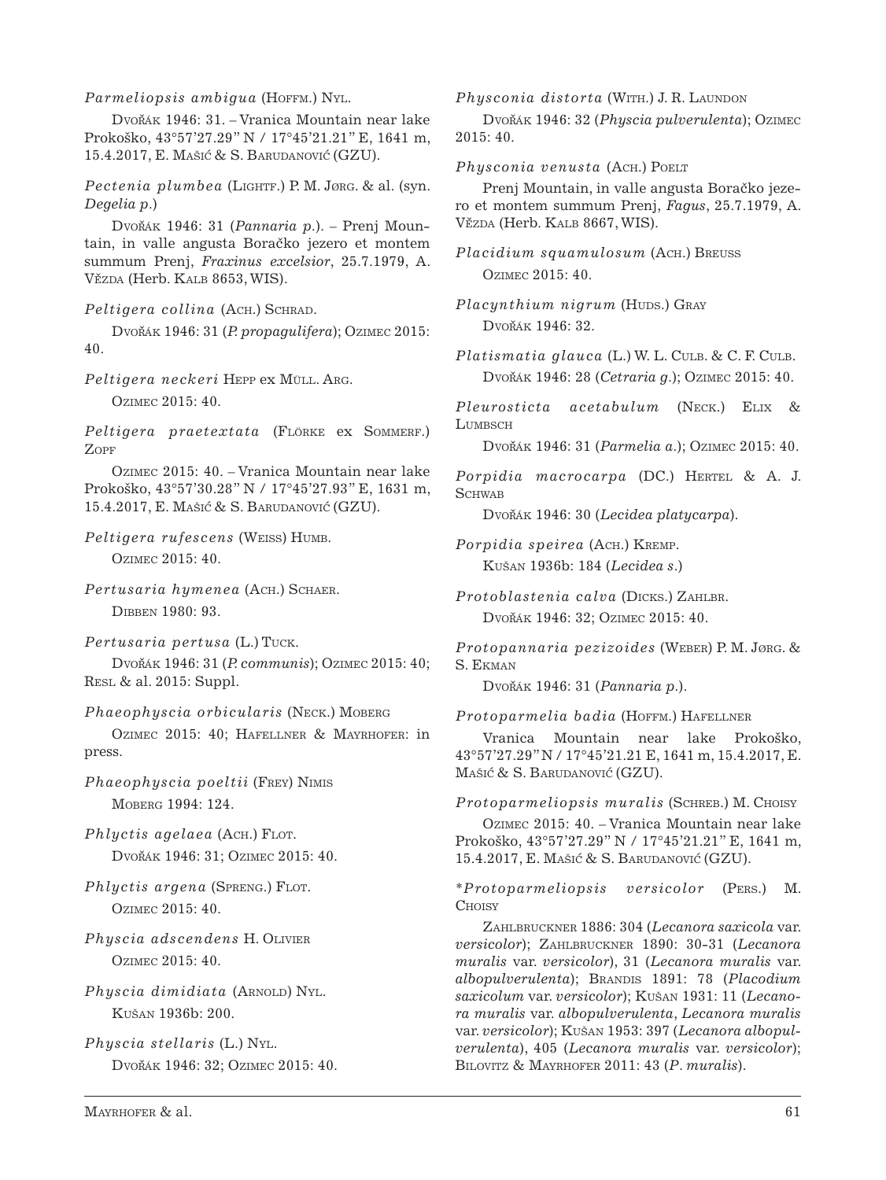*Parmeliopsis ambigua* (HOFFM.) NYL.

Dvořák 1946: 31. – Vranica Mountain near lake Prokoško, 43°57'27.29" N / 17°45'21.21" E, 1641 m, 15.4.2017, E. Mašić & S. Barudanović (GZU).

*Pectenia plumbea* (Lightf.) P. M. Jørg. & al. (syn. *Degelia p*.)

Dvořák 1946: 31 (Pannaria p.). – Prenj Mountain, in valle angusta Boračko jezero et montem summum Prenj, *Fraxinus excelsior*, 25.7.1979, A. VĚZDA (Herb. KALB 8653, WIS).

*Peltigera collina* (Ach.) Schrad.

Dvořák 1946: 31 (P. propagulifera); Ozimec 2015: 40.

*Peltigera neckeri* Hepp ex Müll. Arg. Ozimec 2015: 40.

Peltigera praetextata (FLÖRKE ex SOMMERF.) Zopf

Ozimec 2015: 40. – Vranica Mountain near lake Prokoško, 43°57'30.28" N / 17°45'27.93" E, 1631 m, 15.4.2017, E. Mašić & S. Barudanović (GZU).

*Peltigera rufescens* (Weiss) Humb.

Ozimec 2015: 40.

*Pertusaria hymenea* (Ach.) Schaer. Dibben 1980: 93.

*Pertusaria pertusa* (L.) Tuck.

Dvorˇák 1946: 31 (*P. communis*); Ozimec 2015: 40; Resl & al. 2015: Suppl.

*Phaeophyscia orbicularis* (Neck.) Moberg

Ozimec 2015: 40; Hafellner & Mayrhofer: in press.

*Phaeophyscia poeltii* (Frey) Nimis Moberg 1994: 124.

*Phlyctis agelaea* (Ach.) FLOT. Dvořák 1946: 31; Ozimec 2015: 40.

- *Phlyctis argena* (SPRENG.) FLOT. Ozimec 2015: 40.
- *Physcia adscendens* H. Olivier Ozimec 2015: 40.
- *Physcia dimidiata* (ARNOLD) NYL. Kušan 1936b: 200.

*Physcia stellaris* (L.) Nyl. Dvořák 1946: 32; Ozimec 2015: 40. *Physconia distorta* (WITH.) J. R. LAUNDON

Dvořák 1946: 32 (Physcia pulverulenta); Ozimec 2015: 40.

*Physconia venusta* (Ach.) Poelt

Preni Mountain, in valle angusta Boračko jezero et montem summum Prenj, *Fagus*, 25.7.1979, A. VĚZDA (Herb. KALB 8667, WIS).

```
Placidium squamulosum (Ach.) Breuss
Ozimec 2015: 40.
```
*Placynthium nigrum (Huds.)* GRAY Dvořák 1946: 32.

*Platismatia glauca* (L.) W. L. CULB. & C. F. CULB. Dvořák 1946: 28 (*Cetraria g.*); Ozimec 2015: 40.

*Pleurosticta acetabulum* (Neck.) Elix & LUMBSCH

Dvorˇák 1946: 31 (*Parmelia a*.); Ozimec 2015: 40.

Porpidia macrocarpa (DC.) HERTEL & A. J. **SCHWAB** 

Dvořák 1946: 30 (*Lecidea platycarpa*).

*Porpidia speirea* (Ach.) Kremp. Kušan 1936b: 184 (*Lecidea s*.)

*Protoblastenia calva* (Dicks.) Zahlbr. Dvořák 1946: 32; Ozimec 2015: 40.

*Protopannaria pezizoides* (Weber) P. M. Jørg. & S. Ekman

Dvořák 1946: 31 (Pannaria p.).

*Protoparmelia badia* (Hoffm.) Hafellner

Vranica Mountain near lake Prokoško, 43°57'27.29" N / 17°45'21.21 E, 1641 m, 15.4.2017, E. Mašić & S. Barudanović (GZU).

*Protoparmeliopsis muralis* (Schreb.) M. Choisy

Ozimec 2015: 40. – Vranica Mountain near lake Prokoško, 43°57'27.29" N / 17°45'21.21" E, 1641 m, 15.4.2017, E. Mašić & S. Barudanović (GZU).

\**Protoparmeliopsis versicolor* (Pers.) M. **CHOISY** 

Zahlbruckner 1886: 304 (*Lecanora saxicola* var. *versicolor*); Zahlbruckner 1890: 30-31 (*Lecanora muralis* var. *versicolor*), 31 (*Lecanora muralis* var.  $a$ lbopulverulenta); BRANDIS 1891: 78 (Placodium *saxicolum* var. *versicolor*); Kušan 1931: 11 (*Lecanora muralis* var. *albopulverulenta*, *Lecanora muralis* var. *versicolor*); Kušan 1953: 397 (*Lecanora albopulverulenta*), 405 (*Lecanora muralis* var. *versicolor*); Bilovitz & Mayrhofer 2011: 43 (*P*. *muralis*).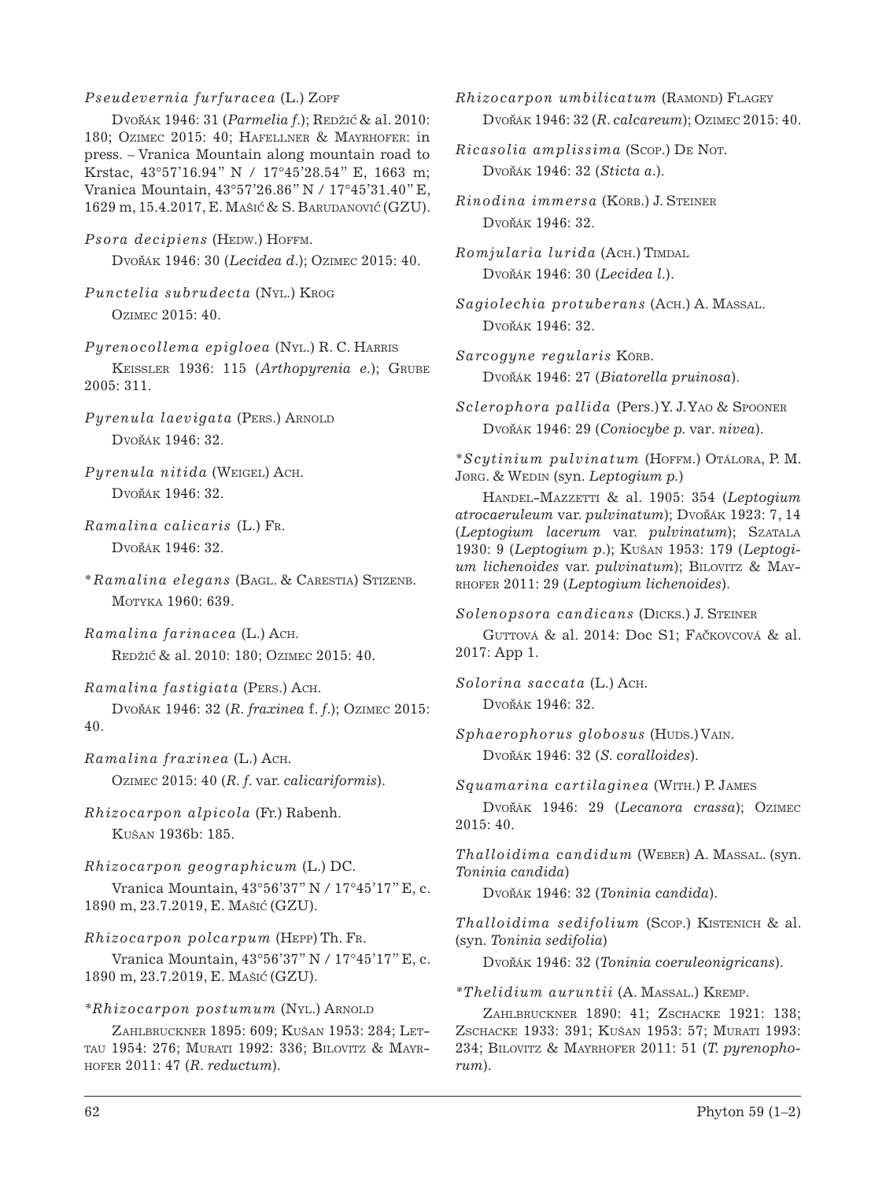### *Pseudevernia furfuracea* (L.) Zopf

Dvořák 1946: 31 (*Parmelia f.*); Redžić & al. 2010: 180; Ozimec 2015: 40; Hafellner & Mayrhofer: in press. – Vranica Mountain along mountain road to Krstac, 43°57'16.94" N / 17°45'28.54" E, 1663 m; Vranica Mountain, 43°57'26.86" N / 17°45'31.40" E, 1629 m, 15.4.2017, E. Mašić & S. Barudanović (GZU).

*Psora decipiens* (HEDW.) HOFFM. Dvorˇák 1946: 30 (*Lecidea d*.); Ozimec 2015: 40.

*Punctelia subrudecta* (Nyl.) Krog Ozimec 2015: 40.

*Pyrenocollema epigloea* (Nyl.) R. C. Harris Keissler 1936: 115 (*Arthopyrenia e.*); Grube 2005: 311.

*Pyrenula laevigata* (PERS.) ARNOLD Dvořák 1946: 32.

*Pyrenula nitida* (Weigel) Ach.  $Dv$ ořák 1946: 32.

*Ramalina calicaris* (L.) Fr. Dvořák 1946: 32.

\**Ramalina elegans* (Bagl. & Carestia) Stizenb. Motyka 1960: 639.

*Ramalina farinacea* (L.) Ach. Redžić & al. 2010: 180; Ozimec 2015: 40.

*Ramalina fastigiata* (Pers.) Ach.

Dvořák 1946: 32 (R. fraxinea f. f.); Ozimec 2015: 40.

*Ramalina fraxinea* (L.) Ach. Ozimec 2015: 40 (*R. f*. var. *calicariformis*).

*Rhizocarpon alpicola* (Fr.) Rabenh. Kušan 1936b: 185.

*Rhizocarpon geographicum* (L.) DC. Vranica Mountain, 43°56'37'' N / 17°45'17'' E, c. 1890 m, 23.7.2019, E. Mašic´ (GZU).

*Rhizocarpon polcarpum* (Hepp) Th. Fr.

Vranica Mountain, 43°56'37'' N / 17°45'17'' E, c. 1890 m, 23.7.2019, E. Mašic´ (GZU).

### *\*Rhizocarpon postumum* (Nyl.) Arnold

Zahlbruckner 1895: 609; Kušan 1953: 284; Lettau 1954: 276; Murati 1992: 336; Bilovitz & Mayrhofer 2011: 47 (*R. reductum*).

*Rhizocarpon umbilicatum* (Ramond) Flagey Dvorˇák 1946: 32 (*R. calcareum*); Ozimec 2015: 40.

*Ricasolia amplissima* (Scop.) De Not. Dvorˇák 1946: 32 (*Sticta a*.).

*Rinodina immersa* (Körb.) J. Steiner Dvořák 1946: 32.

 $Romjularia lurida (ACH.) TIMDAL$ Dvorˇák 1946: 30 (*Lecidea l*.).

*Sagiolechia protuberans* (Ach.) A. Massal. Dvořák 1946: 32.

*Sarcogyne regularis* Körb. Dvořák 1946: 27 (Biatorella pruinosa).

\**Scytinium pulvinatum* (Hoffm.) Otálora, P. M. Jørg. & Wedin (syn. *Leptogium p.*)

Handel-Mazzetti & al. 1905: 354 (*Leptogium atrocaeruleum* var. *pulvinatum*); Dvorˇák 1923: 7, 14 (*Leptogium lacerum* var. *pulvinatum*); Szatala 1930: 9 (*Leptogium p*.); Kušan 1953: 179 (*Leptogium lichenoides* var. *pulvinatum*); BILOVITZ & MAYrhofer 2011: 29 (*Leptogium lichenoides*).

*Solenopsora candicans* (Dicks.) J. Steiner

GUTTOVÁ & al. 2014: Doc S1; FAČKOVCOVÁ & al. 2017: App 1.

*Solorina saccata* (L.) Ach. Dvořák 1946: 32.

 $Sphaerophorus globosus$  (Huds.) VAIN. Dvořák 1946: 32 (*S. coralloides*).

 $Squamaria cartilaginea$  *(WITH.)* P. JAMES

Dvořák 1946: 29 (*Lecanora crassa*); Ozimec 2015: 40.

*Thalloidima candidum* (Weber) A. Massal. (syn. *Toninia candida*)

Dvořák 1946: 32 (*Toninia candida*).

*Thalloidima sedifolium* (Scop.) Kistenich & al. (syn. *Toninia sedifolia*)

Dvořák 1946: 32 (*Toninia coeruleonigricans*).

*\*Thelidium auruntii* (A. Massal.) Kremp.

Zahlbruckner 1890: 41; Zschacke 1921: 138; Zschacke 1933: 391; Kušan 1953: 57; Murati 1993: 234; Bilovitz & Mayrhofer 2011: 51 (*T. pyrenophorum*).

*Sclerophora pallida* (Pers.) Y. J. Yao & Spooner Dvorˇák 1946: 29 (*Coniocybe p.* var*. nivea*).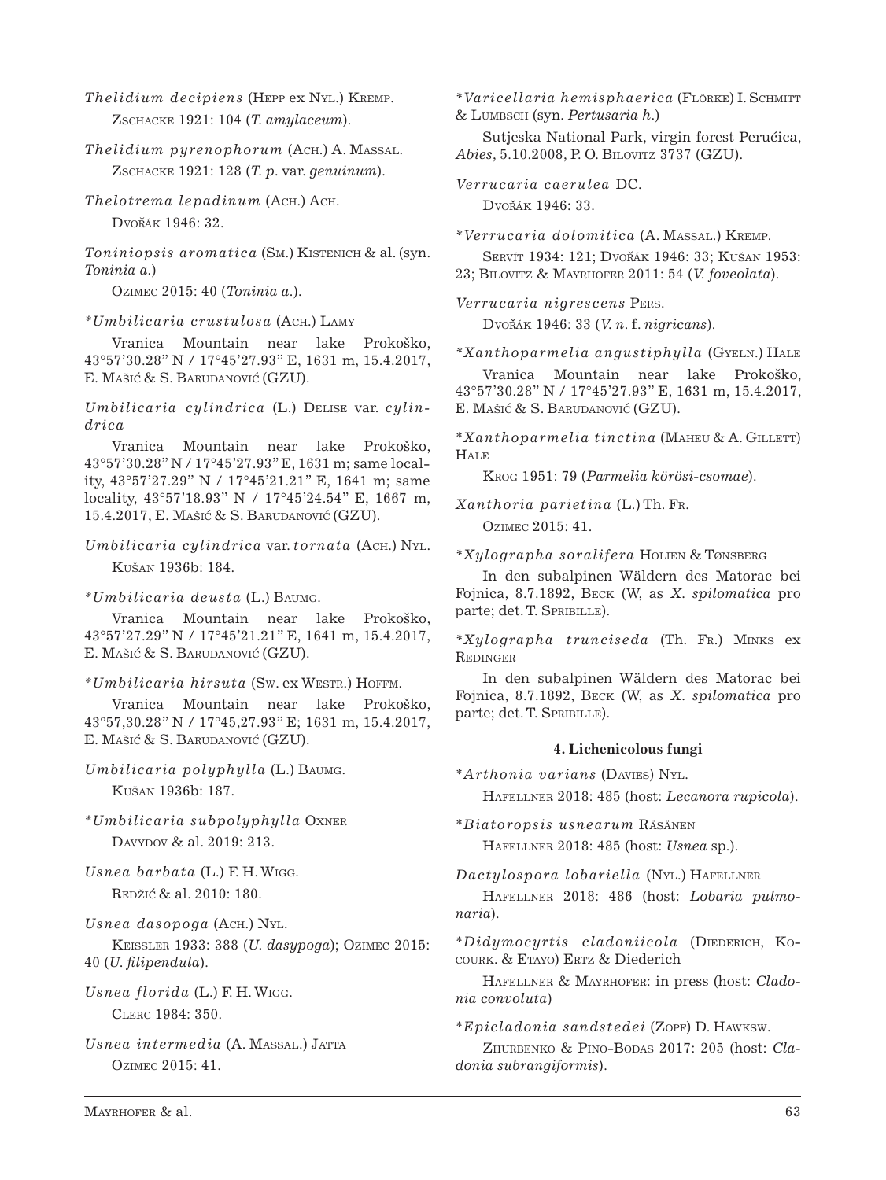*Thelidium decipiens* (Hepp ex Nyl.) Kremp. Zschacke 1921: 104 (*T. amylaceum*).

*Thelidium pyrenophorum* (Ach.) A. Massal. Zschacke 1921: 128 (*T. p*. var. *genuinum*).

*Thelotrema lepadinum* (Ach.) Ach. Dvořák 1946: 32.

*Toniniopsis aromatica* (Sm.) Kistenich & al. (syn. *Toninia a.*)

Ozimec 2015: 40 (*Toninia a*.).

*\*Umbilicaria crustulosa* (Ach.) Lamy

Vranica Mountain near lake Prokoško, 43°57'30.28'' N / 17°45'27.93'' E, 1631 m, 15.4.2017, E. Mašić & S. Barudanović (GZU).

*Umbilicaria cylindrica* (L.) Delise var. *cylindrica* 

Vranica Mountain near lake Prokoško, 43°57'30.28'' N / 17°45'27.93'' E, 1631 m; same locality, 43°57'27.29'' N / 17°45'21.21'' E, 1641 m; same locality, 43°57'18.93'' N / 17°45'24.54'' E, 1667 m, 15.4.2017, E. Mašić & S. Barudanović (GZU).

*Umbilicaria cylindrica* var. *tornata* (Ach.) Nyl. Kušan 1936b: 184.

*\*Umbilicaria deusta* (L.) Baumg.

Vranica Mountain near lake Prokoško, 43°57'27.29" N / 17°45'21.21" E, 1641 m, 15.4.2017, E. Mašić & S. Barudanović (GZU).

*\*Umbilicaria hirsuta* (Sw. ex Westr.) Hoffm.

Vranica Mountain near lake Prokoško, 43°57,30.28" N / 17°45,27.93" E; 1631 m, 15.4.2017, E. MAŠIĆ & S. BARUDANOVIĆ (GZU).

*Umbilicaria polyphylla* (L.) Baumg. Kušan 1936b: 187.

*\*Umbilicaria subpolyphylla* Oxner DAVYDOV & al. 2019: 213.

*Usnea barbata* (L.) F. H. Wigg. REDŽIĆ & al. 2010: 180.

*Usnea dasopoga* (Ach.) Nyl.

Keissler 1933: 388 (*U. dasypoga*); Ozimec 2015: 40 (*U. filipendula*).

*Usnea florida* (L.) F. H. Wigg. Clerc 1984: 350.

*Usnea intermedia* (A. Massal.) Jatta Ozimec 2015: 41.

*\*Varicellaria hemisphaerica* (Flörke) I. Schmitt & Lumbsch (syn. *Pertusaria h*.)

Sutjeska National Park, virgin forest Perucica, *Abies*, 5.10.2008, P. O. Bilovitz 3737 (GZU).

*Verrucaria caerulea* DC.

Dvořák 1946: 33.

*\*Verrucaria dolomitica* (A. Massal.) Kremp.

SERVÍT 1934: 121; DVOŘÁK 1946: 33; KUŠAN 1953: 23; Bilovitz & Mayrhofer 2011: 54 (*V. foveolata*).

*Verrucaria nigrescens* Pers. Dvorˇák 1946: 33 (*V. n*. f. *nigricans*).

*\*Xanthoparmelia angustiphylla* (Gyeln.) Hale

Vranica Mountain near lake Prokoško, 43°57'30.28'' N / 17°45'27.93'' E, 1631 m, 15.4.2017, E. MAŠIĆ & S. BARUDANOVIĆ (GZU).

\**Xanthoparmelia tinctina* (Maheu & A. Gillett) **HALE** 

Krog 1951: 79 (*Parmelia körösi-csomae*).

*Xanthoria parietina* (L.) Th. Fr.

Ozimec 2015: 41.

*\*Xylographa soralifera* Holien & Tønsberg

In den subalpinen Wäldern des Matorac bei Fojnica, 8.7.1892, Beck (W, as *X. spilomatica* pro parte; det. T. SPRIBILLE).

*\*Xylographa trunciseda* (Th. Fr.) Minks ex Redinger

In den subalpinen Wäldern des Matorac bei Fojnica, 8.7.1892, Beck (W, as *X. spilomatica* pro parte; det. T. SPRIBILLE).

## **4. Lichenicolous fungi**

\**Arthonia varians* (Davies) Nyl.

Hafellner 2018: 485 (host: *Lecanora rupicola*).

\**Biatoropsis usnearum* Räsänen Hafellner 2018: 485 (host: *Usnea* sp.).

*Dactylospora lobariella* (Nyl.) Hafellner

Hafellner 2018: 486 (host: *Lobaria pulmonaria*).

\*Didymocyrtis cladoniicola (DIEDERICH, KOcourk. & Etayo) Ertz & Diederich

Hafellner & Mayrhofer: in press (host: *Cladonia convoluta*)

\**Epicladonia sandstedei* (Zopf) D. Hawksw.

Zhurbenko & Pino-Bodas 2017: 205 (host: *Cladonia subrangiformis*).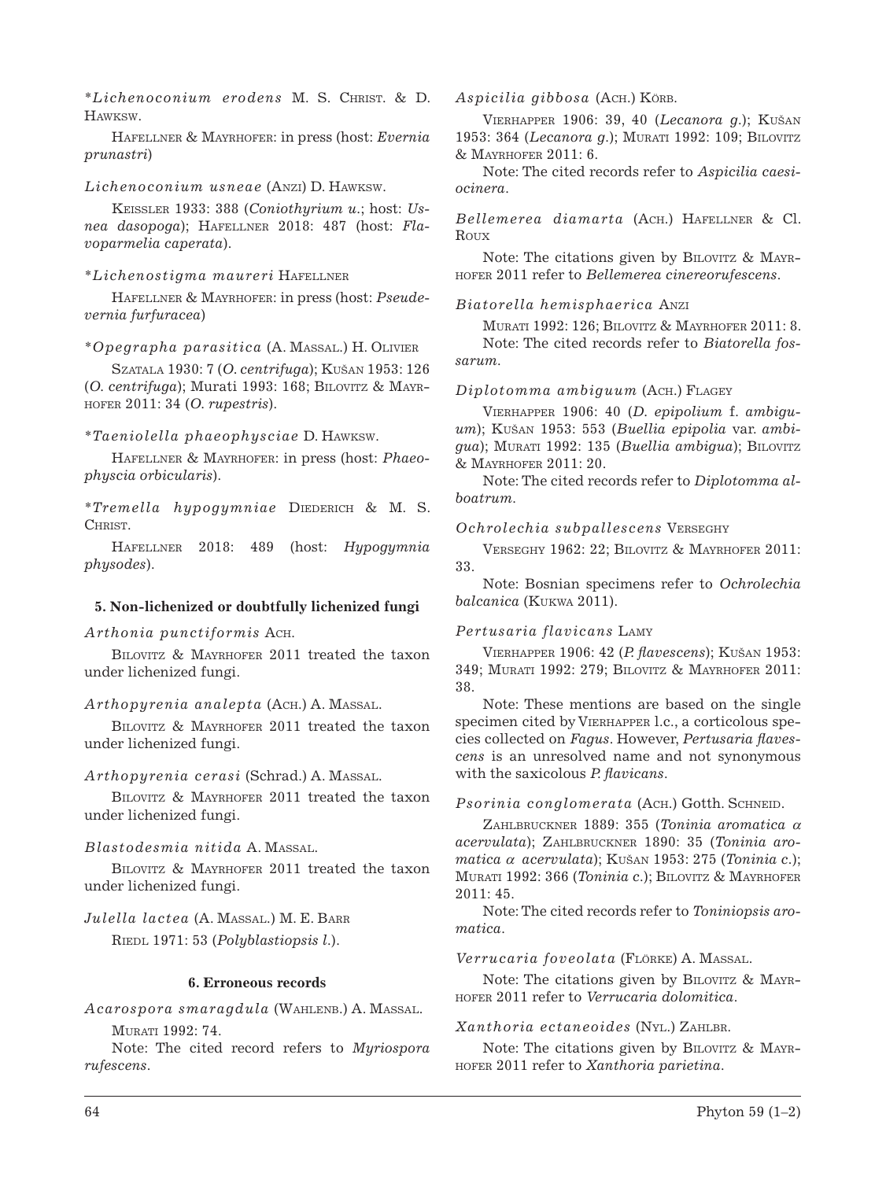\**Lichenoconium erodens* M. S. Christ. & D. **HAWKSW** 

Hafellner & Mayrhofer: in press (host: *Evernia prunastri*)

### *Lichenoconium usneae* (Anzi) D. Hawksw.

Keissler 1933: 388 (*Coniothyrium u.*; host: *Usnea dasopoga*); Hafellner 2018: 487 (host: *Flavoparmelia caperata*).

### \**Lichenostigma maureri* Hafellner

Hafellner & Mayrhofer: in press (host: *Pseudevernia furfuracea*)

\**Opegrapha parasitica* (A. Massal.) H. Olivier

Szatala 1930: 7 (*O. centrifuga*); Kušan 1953: 126 (*O. centrifuga*); Murati 1993: 168; Bilovitz & Mayrhofer 2011: 34 (*O. rupestris*).

### \**Taeniolella phaeophysciae* D. Hawksw.

Hafellner & Mayrhofer: in press (host: *Phaeophyscia orbicularis*).

\**Tremella hypogymniae* Diederich & M. S. Christ.

Hafellner 2018: 489 (host: *Hypogymnia physodes*).

#### **5. Non-lichenized or doubtfully lichenized fungi**

*Arthonia punctiformis* Ach.

Bilovitz & Mayrhofer 2011 treated the taxon under lichenized fungi.

*Arthopyrenia analepta* (Ach.) A. Massal.

Bilovitz & Mayrhofer 2011 treated the taxon under lichenized fungi.

*Arthopyrenia cerasi* (Schrad.) A. Massal.

BILOVITZ & MAYRHOFER 2011 treated the taxon under lichenized fungi.

## *Blastodesmia nitida* A. Massal.

Bilovitz & Mayrhofer 2011 treated the taxon under lichenized fungi.

## *Julella lactea* (A. Massal.) M. E. Barr Riedl 1971: 53 (*Polyblastiopsis l*.).

#### **6. Erroneous records**

*Acarospora smaragdula* (Wahlenb.) A. Massal. Murati 1992: 74.

Note: The cited record refers to *Myriospora rufescens*.

*Aspicilia gibbosa* (Ach.) Körb.

Vierhapper 1906: 39, 40 (*Lecanora g*.); Kušan 1953: 364 (*Lecanora g*.); Murati 1992: 109; Bilovitz & Mayrhofer 2011: 6.

Note: The cited records refer to *Aspicilia caesiocinera*.

*Bellemerea diamarta* (Ach.) Hafellner & Cl. Roux

Note: The citations given by BILOVITZ & MAYRhofer 2011 refer to *Bellemerea cinereorufescens*.

#### *Biatorella hemisphaerica* Anzi

Murati 1992: 126; Bilovitz & Mayrhofer 2011: 8. Note: The cited records refer to *Biatorella fossarum*.

### *Diplotomma ambiguum* (Ach.) Flagey

Vierhapper 1906: 40 (*D. epipolium* f. *ambiguum*); Kušan 1953: 553 (*Buellia epipolia* var. *ambigua*); MURATI 1992: 135 (*Buellia ambigua*); BILOVITZ & Mayrhofer 2011: 20.

Note: The cited records refer to *Diplotomma alboatrum*.

### *Ochrolechia subpallescens* Verseghy

Verseghy 1962: 22; Bilovitz & Mayrhofer 2011: 33.

Note: Bosnian specimens refer to *Ochrolechia balcanica* (Kukwa 2011).

### *Pertusaria flavicans* Lamy

Vierhapper 1906: 42 (*P. flavescens*); Kušan 1953: 349; Murati 1992: 279; Bilovitz & Mayrhofer 2011: 38.

Note: These mentions are based on the single specimen cited by Vierhapper l.c., a corticolous species collected on *Fagus*. However, *Pertusaria flavescens* is an unresolved name and not synonymous with the saxicolous *P. flavicans*.

#### Psorinia conglomerata (ACH.) Gotth. SCHNEID.

Zahlbruckner 1889: 355 (*Toninia aromatica* <sup>a</sup> *acervulata*); Zahlbruckner 1890: 35 (*Toninia aromatica* <sup>a</sup> *acervulata*); Kušan 1953: 275 (*Toninia c*.); Murati 1992: 366 (*Toninia c*.); Bilovitz & Mayrhofer 2011: 45.

Note: The cited records refer to *Toniniopsis aromatica*.

#### *Verrucaria foveolata* (Flörke) A. Massal.

Note: The citations given by BILOVITZ & MAYRhofer 2011 refer to *Verrucaria dolomitica*.

#### *Xanthoria ectaneoides* (Nyl.) Zahlbr.

Note: The citations given by BILOVITZ & MAYRhofer 2011 refer to *Xanthoria parietina*.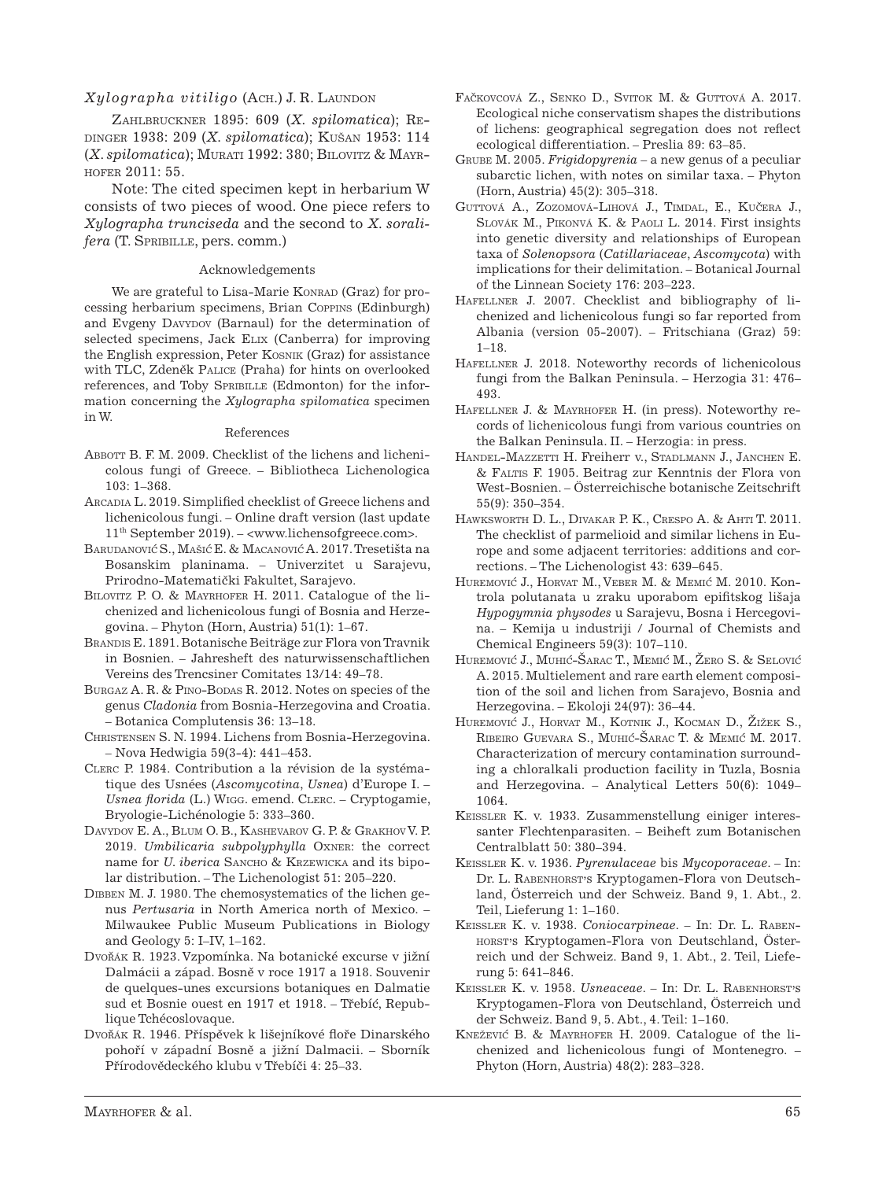## $Xylographa$  *vitiligo* (ACH.) J. R. LAUNDON

Zahlbruckner 1895: 609 (*X. spilomatica*); Redinger 1938: 209 (*X. spilomatica*); Kušan 1953: 114 (*X*. *spilomatica*); Murati 1992: 380; Bilovitz & Mayrhofer 2011: 55.

Note: The cited specimen kept in herbarium W consists of two pieces of wood. One piece refers to *Xylographa trunciseda* and the second to *X. soralifera* (T. SPRIBILLE, pers. comm.)

#### Acknowledgements

We are grateful to Lisa-Marie KONRAD (Graz) for processing herbarium specimens, Brian Coppins (Edinburgh) and Evgeny DAVYDOV (Barnaul) for the determination of selected specimens, Jack Elix (Canberra) for improving the English expression, Peter Kosnik (Graz) for assistance with TLC, Zdeněk PALICE (Praha) for hints on overlooked references, and Toby SPRIBILLE (Edmonton) for the information concerning the *Xylographa spilomatica* specimen in W.

#### References

- Abbott B. F. M. 2009. Checklist of the lichens and lichenicolous fungi of Greece. – Bibliotheca Lichenologica 103: 1–368.
- Arcadia L. 2019. Simplified checklist of Greece lichens and lichenicolous fungi. – Online draft version (last update 11th September 2019). – <www.lichensofgreece.com>.
- BARUDANOVIĆ S., MAŠIĆ E. & MACANOVIĆ A. 2017. Tresetišta na Bosanskim planinama. – Univerzitet u Sarajevu, Prirodno-Matematički Fakultet, Sarajevo.
- BILOVITZ P. O. & MAYRHOFER H. 2011. Catalogue of the lichenized and lichenicolous fungi of Bosnia and Herzegovina. – Phyton (Horn, Austria) 51(1): 1–67.
- Brandis E. 1891. Botanische Beiträge zur Flora von Travnik in Bosnien. – Jahresheft des naturwissenschaftlichen Vereins des Trencsiner Comitates 13/14: 49–78.
- BURGAZ A. R. & PINO-BODAS R. 2012. Notes on species of the genus *Cladonia* from Bosnia-Herzegovina and Croatia. – Botanica Complutensis 36: 13–18.
- Christensen S. N. 1994. Lichens from Bosnia-Herzegovina. – Nova Hedwigia 59(3-4): 441–453.
- Clerc P. 1984. Contribution a la révision de la systématique des Usnées (*Ascomycotina*, *Usnea*) d'Europe I. – *Usnea florida* (L.) Wigg. emend. Clerc. – Cryptogamie, Bryologie-Lichénologie 5: 333–360.
- Davydov E. A., Blum O. B., Kashevarov G. P. & Grakhov V. P. 2019. *Umbilicaria subpolyphylla* Oxner: the correct name for *U. iberica* SANCHO & KRZEWICKA and its bipolar distribution. – The Lichenologist 51: 205–220.
- Dibben M. J. 1980. The chemosystematics of the lichen genus *Pertusaria* in North America north of Mexico. – Milwaukee Public Museum Publications in Biology and Geology 5: I–IV, 1–162.
- Dvořák R. 1923. Vzpomínka. Na botanické excurse v jižní Dalmácii a západ. Bosně v roce 1917 a 1918. Souvenir de quelques-unes excursions botaniques en Dalmatie sud et Bosnie ouest en 1917 et 1918. – Třebíć, Republique Tchécoslovaque.
- Dvořák R. 1946. Příspěvek k lišejníkové floře Dinarského pohoří v západní Bosně a jižní Dalmacii. – Sborník Přírodovědeckého klubu v Třebíči 4: 25–33.
- FAČKOVCOVÁ Z., SENKO D., SVITOK M. & GUTTOVÁ A. 2017. Ecological niche conservatism shapes the distributions of lichens: geographical segregation does not reflect ecological differentiation. – Preslia 89: 63–85.
- Grube M. 2005. *Frigidopyrenia* a new genus of a peculiar subarctic lichen, with notes on similar taxa. – Phyton (Horn, Austria) 45(2): 305–318.
- GUTTOVÁ A., ZOZOMOVÁ-LIHOVÁ J., TIMDAL, E., KUČERA J., Slovák M., Pikonvá K. & Paoli L. 2014. First insights into genetic diversity and relationships of European taxa of *Solenopsora* (*Catillariaceae*, *Ascomycota*) with implications for their delimitation. – Botanical Journal of the Linnean Society 176: 203–223.
- Hafellner J. 2007. Checklist and bibliography of lichenized and lichenicolous fungi so far reported from Albania (version 05-2007). – Fritschiana (Graz) 59:  $1 - 18$ .
- Hafellner J. 2018. Noteworthy records of lichenicolous fungi from the Balkan Peninsula. – Herzogia 31: 476– 493.
- Hafellner J. & Mayrhofer H. (in press). Noteworthy records of lichenicolous fungi from various countries on the Balkan Peninsula. II. – Herzogia: in press.
- HANDEL-MAZZETTI H. Freiherr v., STADLMANN J., JANCHEN E. & Faltis F. 1905. Beitrag zur Kenntnis der Flora von West-Bosnien. – Österreichische botanische Zeitschrift 55(9): 350–354.
- Hawksworth D. L., Divakar P. K., Crespo A. & Ahti T. 2011. The checklist of parmelioid and similar lichens in Europe and some adjacent territories: additions and corrections. – The Lichenologist 43: 639–645.
- HUREMOVIĆ J., HORVAT M., VEBER M. & MEMIĆ M. 2010. Kontrola polutanata u zraku uporabom epifitskog lišaja *Hypogymnia physodes* u Sarajevu, Bosna i Hercegovina. – Kemija u industriji / Journal of Chemists and Chemical Engineers 59(3): 107–110.
- HUREMOVIĆ J., MUHIĆ-ŠARAC T., MEMIĆ M., ŽERO S. & SELOVIĆ A. 2015. Multielement and rare earth element composition of the soil and lichen from Sarajevo, Bosnia and Herzegovina. – Ekoloji 24(97): 36–44.
- HUREMOVIĆ J., HORVAT M., KOTNIK J., KOCMAN D., ŽIŽEK S., RIBEIRO GUEVARA S., MUHIĆ-ŠARAC T. & MEMIĆ M. 2017. Characterization of mercury contamination surrounding a chloralkali production facility in Tuzla, Bosnia and Herzegovina. – Analytical Letters 50(6): 1049– 1064.
- Keissler K. v. 1933. Zusammenstellung einiger interessanter Flechtenparasiten. – Beiheft zum Botanischen Centralblatt 50: 380–394.
- Keissler K. v. 1936. *Pyrenulaceae* bis *Mycoporaceae*. In: Dr. L. RABENHORST'S Kryptogamen-Flora von Deutschland, Österreich und der Schweiz. Band 9, 1. Abt., 2. Teil, Lieferung 1: 1–160.
- Keissler K. v. 1938. *Coniocarpineae*. In: Dr. L. Rabenhorst's Kryptogamen-Flora von Deutschland, Österreich und der Schweiz. Band 9, 1. Abt., 2. Teil, Lieferung 5: 641–846.
- Keissler K. v. 1958. *Usneaceae*. In: Dr. L. Rabenhorst's Kryptogamen-Flora von Deutschland, Österreich und der Schweiz. Band 9, 5. Abt., 4. Teil: 1–160.
- Kneževic´ B. & Mayrhofer H. 2009. Catalogue of the lichenized and lichenicolous fungi of Montenegro. – Phyton (Horn, Austria) 48(2): 283–328.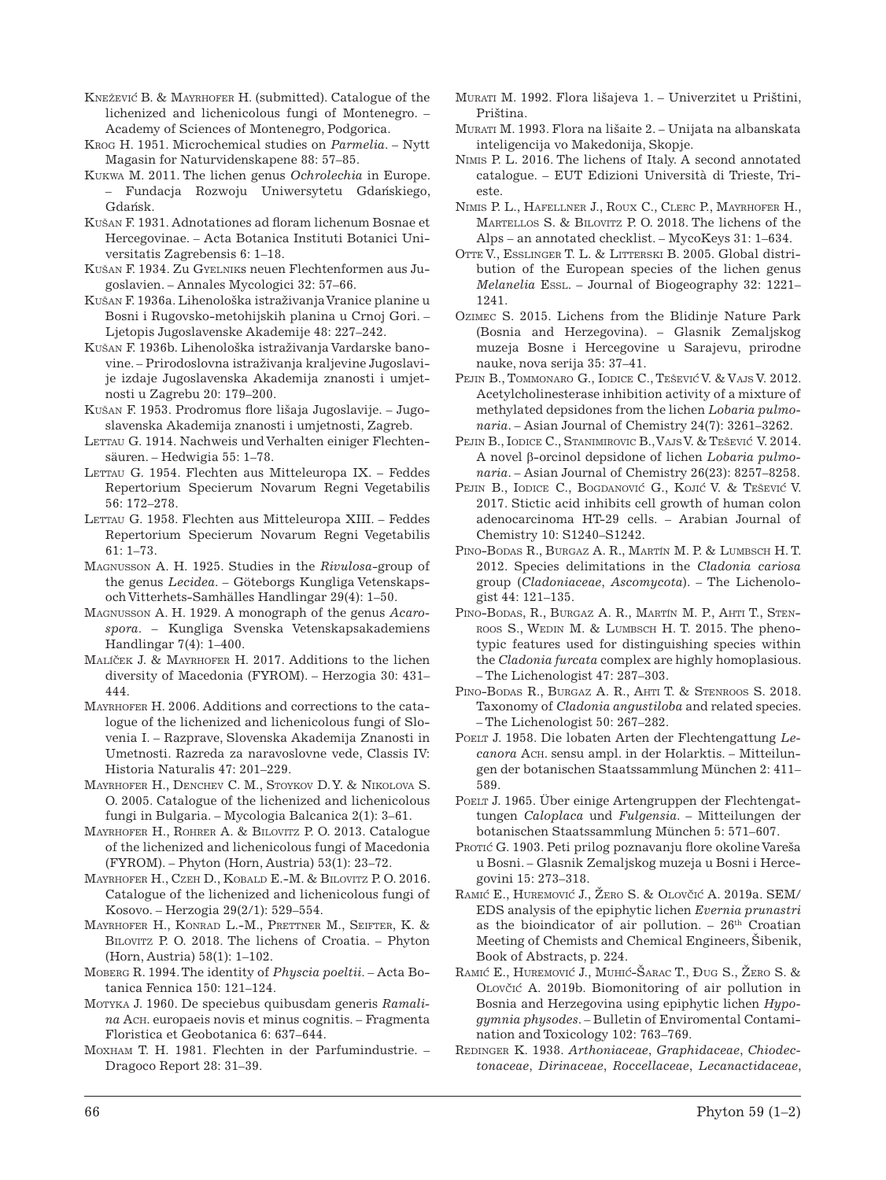- KNEŽEVIĆ B. & MAYRHOFER H. (submitted). Catalogue of the lichenized and lichenicolous fungi of Montenegro. – Academy of Sciences of Montenegro, Podgorica.
- Krog H. 1951. Microchemical studies on *Parmelia*. Nytt Magasin for Naturvidenskapene 88: 57–85.
- Kukwa M. 2011. The lichen genus *Ochrolechia* in Europe. – Fundacja Rozwoju Uniwersytetu Gdan´skiego, Gdańsk.
- Kušan F. 1931. Adnotationes ad floram lichenum Bosnae et Hercegovinae. – Acta Botanica Instituti Botanici Universitatis Zagrebensis 6: 1–18.
- Kušan F. 1934. Zu Gyelniks neuen Flechtenformen aus Jugoslavien. – Annales Mycologici 32: 57–66.
- Kušan F. 1936a. Lihenološka istraživanja Vranice planine u Bosni i Rugovsko-metohijskih planina u Crnoj Gori. – Ljetopis Jugoslavenske Akademije 48: 227–242.
- Kušan F. 1936b. Lihenološka istraživanja Vardarske banovine. – Prirodoslovna istraživanja kraljevine Jugoslavije izdaje Jugoslavenska Akademija znanosti i umjetnosti u Zagrebu 20: 179–200.
- Kušan F. 1953. Prodromus flore lišaja Jugoslavije. Jugoslavenska Akademija znanosti i umjetnosti, Zagreb.
- LETTAU G. 1914. Nachweis und Verhalten einiger Flechtensäuren. – Hedwigia 55: 1–78.
- LETTAU G. 1954. Flechten aus Mitteleuropa IX. Feddes Repertorium Specierum Novarum Regni Vegetabilis 56: 172–278.
- LETTAU G. 1958. Flechten aus Mitteleuropa XIII. Feddes Repertorium Specierum Novarum Regni Vegetabilis 61: 1–73.
- Magnusson A. H. 1925. Studies in the *Rivulosa*-group of the genus *Lecidea*. – Göteborgs Kungliga Vetenskapsoch Vitterhets-Samhälles Handlingar 29(4): 1–50.
- Magnusson A. H. 1929. A monograph of the genus *Acarospora*. – Kungliga Svenska Vetenskapsakademiens Handlingar 7(4): 1–400.
- MALÍČEK J. & MAYRHOFER H. 2017. Additions to the lichen diversity of Macedonia (FYROM). – Herzogia 30: 431– 444.
- Mayrhofer H. 2006. Additions and corrections to the catalogue of the lichenized and lichenicolous fungi of Slovenia I. – Razprave, Slovenska Akademija Znanosti in Umetnosti. Razreda za naravoslovne vede, Classis IV: Historia Naturalis 47: 201–229.
- MAYRHOFER H., DENCHEV C. M., STOYKOV D. Y. & NIKOLOVA S. O. 2005. Catalogue of the lichenized and lichenicolous fungi in Bulgaria. – Mycologia Balcanica 2(1): 3–61.
- Mayrhofer H., Rohrer A. & Bilovitz P. O. 2013. Catalogue of the lichenized and lichenicolous fungi of Macedonia (FYROM). – Phyton (Horn, Austria) 53(1): 23–72.
- Mayrhofer H., Czeh D., Kobald E.-M. & Bilovitz P. O. 2016. Catalogue of the lichenized and lichenicolous fungi of Kosovo. – Herzogia 29(2/1): 529–554.
- Mayrhofer H., Konrad L.-M., Prettner M., Seifter, K. & Bilovitz P. O. 2018. The lichens of Croatia. – Phyton (Horn, Austria) 58(1): 1–102.
- Moberg R. 1994. The identity of *Physcia poeltii*. Acta Botanica Fennica 150: 121–124.
- Motyka J. 1960. De speciebus quibusdam generis *Ramalina* Ach. europaeis novis et minus cognitis. – Fragmenta Floristica et Geobotanica 6: 637–644.
- Moxham T. H. 1981. Flechten in der Parfumindustrie. Dragoco Report 28: 31–39.
- Murati M. 1992. Flora lišajeva 1. Univerzitet u Prištini, Priština.
- Murati M. 1993. Flora na lišaite 2. Unijata na albanskata inteligencija vo Makedonija, Skopje.
- Nimis P. L. 2016. The lichens of Italy. A second annotated catalogue. – EUT Edizioni Università di Trieste, Trieste.
- Nimis P. L., Hafellner J., Roux C., Clerc P., Mayrhofer H., Martellos S. & Bilovitz P. O. 2018. The lichens of the Alps – an annotated checklist. – MycoKeys 31: 1–634.
- Otte V., Esslinger T. L. & Litterski B. 2005. Global distribution of the European species of the lichen genus *Melanelia* Essl. – Journal of Biogeography 32: 1221– 1241.
- Ozimec S. 2015. Lichens from the Blidinje Nature Park (Bosnia and Herzegovina). – Glasnik Zemaljskog muzeja Bosne i Hercegovine u Sarajevu, prirodne nauke, nova serija 35: 37–41.
- Pejin B., Tommonaro G., Iodice C., Tešević V. & Vajs V. 2012. Acetylcholinesterase inhibition activity of a mixture of methylated depsidones from the lichen *Lobaria pulmonaria*. – Asian Journal of Chemistry 24(7): 3261–3262.
- Pejin B., Iodice C., Stanimirovic B., Vajs V. & Tešević V. 2014. A novel β-orcinol depsidone of lichen *Lobaria pulmonaria*. – Asian Journal of Chemistry 26(23): 8257–8258.
- Pejin B., Iodice C., Bogdanović G., Kojić V. & Tešević V. 2017. Stictic acid inhibits cell growth of human colon adenocarcinoma HT-29 cells. – Arabian Journal of Chemistry 10: S1240–S1242.
- PINO-BODAS R., BURGAZ A. R., MARTÍN M. P. & LUMBSCH H. T. 2012. Species delimitations in the *Cladonia cariosa* group (*Cladoniaceae*, *Ascomycota*). – The Lichenologist 44: 121–135.
- PINO-BODAS, R., BURGAZ A. R., MARTÍN M. P., AHTI T., STENroos S., Wedin M. & Lumbsch H. T. 2015. The phenotypic features used for distinguishing species within the *Cladonia furcata* complex are highly homoplasious. – The Lichenologist 47: 287–303.
- PINO-BODAS R., BURGAZ A. R., AHTI T. & STENROOS S. 2018. Taxonomy of *Cladonia angustiloba* and related species. – The Lichenologist 50: 267–282.
- POELT J. 1958. Die lobaten Arten der Flechtengattung Le*canora* Ach. sensu ampl. in der Holarktis. – Mitteilungen der botanischen Staatssammlung München 2: 411– 589.
- POELT J. 1965. Über einige Artengruppen der Flechtengattungen *Caloplaca* und *Fulgensia*. – Mitteilungen der botanischen Staatssammlung München 5: 571–607.
- Protic G. 1903. Peti prilog poznavanju flore okoline Vareša u Bosni. – Glasnik Zemaljskog muzeja u Bosni i Hercegovini 15: 273–318.
- RAMIĆ E., HUREMOVIĆ J., ŽERO S. & OLOVČIĆ A. 2019a. SEM/ EDS analysis of the epiphytic lichen *Evernia prunastri* as the bioindicator of air pollution.  $-26$ <sup>th</sup> Croatian Meeting of Chemists and Chemical Engineers, Šibenik, Book of Abstracts, p. 224.
- RAMIĆ E., HUREMOVIĆ J., MUHIĆ-ŠARAC T., ĐUG S., ŽERO S. & OLOVČIĆ A. 2019b. Biomonitoring of air pollution in Bosnia and Herzegovina using epiphytic lichen *Hypogymnia physodes*. – Bulletin of Enviromental Contamination and Toxicology 102: 763–769.
- Redinger K. 1938. *Arthoniaceae*, *Graphidaceae*, *Chiodectonaceae*, *Dirinaceae*, *Roccellaceae*, *Lecanactidaceae*,